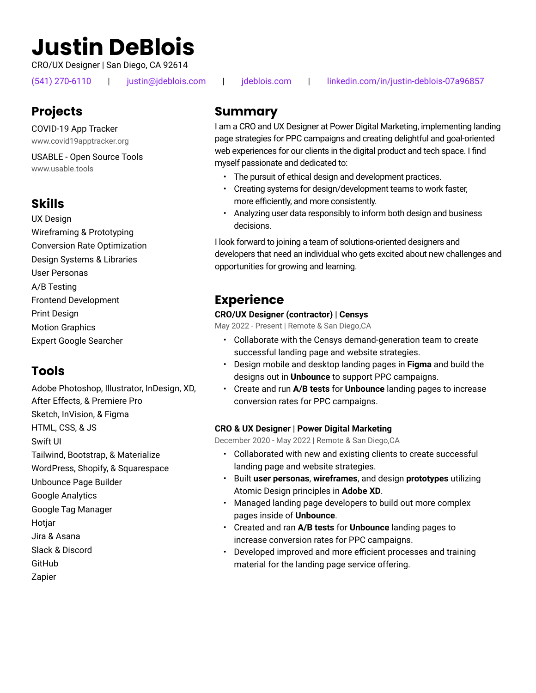# **Justin DeBlois**

CRO/UX Designer | San Diego, CA 92614

(541) 270-6110 | justin@jdeblois.com | jdeblois.com | linkedin.com/in/justin-deblois-07a96857

# **Projects**

COVID-19 App Tracker www.covid19apptracker.org

USABLE - Open Source Tools www.usable.tools

# **Skills**

UX Design Design Systems & Libraries Frontend Development Conversion Rate Optimization A/B Testing Wireframing & Prototyping User Personas Print Design Motion Graphics Expert Google Searcher

# **Tools**

Adobe Photoshop, Illustrator, InDesign, XD, After Effects, & Premiere Pro Tailwind, Bootstrap, & Materialize Swift UI Sketch, InVision, & Figma HTML, CSS, & JS WordPress, Shopify, & Squarespace Unbounce Page Builder Google Analytics Google Tag Manager **Hotjar** Jira & Asana Slack & Discord **GitHub** Zapier

# **Summary**

I am a CRO and UX Designer at Power Digital Marketing, implementing landing page strategies for PPC campaigns and creating delightful and goal-oriented web experiences for our clients in the digital product and tech space. I find myself passionate and dedicated to:

- The pursuit of ethical design and development practices.
- Creating systems for design/development teams to work faster, more efficiently, and more consistently.
- Analyzing user data responsibly to inform both design and business decisions.

I look forward to joining a team of solutions-oriented designers and developers that need an individual who gets excited about new challenges and opportunities for growing and learning.

### **Experience**

### **CRO/UX Designer (contractor) | Censys**

May 2022 - Present | Remote & San Diego,CA

- Collaborate with the Censys demand-generation team to create successful landing page and website strategies.
- Design mobile and desktop landing pages in **Figma** and build the designs out in **Unbounce** to support PPC campaigns.
- Create and run **A/B tests** for **Unbounce** landing pages to increase conversion rates for PPC campaigns.

### **CRO & UX Designer | Power Digital Marketing**

December 2020 - May 2022 | Remote & San Diego,CA

- Collaborated with new and existing clients to create successful landing page and website strategies.
- Built **user personas**, **wireframes**, and design **prototypes** utilizing Atomic Design principles in **Adobe XD**.
- Managed landing page developers to build out more complex pages inside of **Unbounce**.
- Created and ran **A/B tests** for **Unbounce** landing pages to increase conversion rates for PPC campaigns.
- Developed improved and more efficient processes and training material for the landing page service offering.